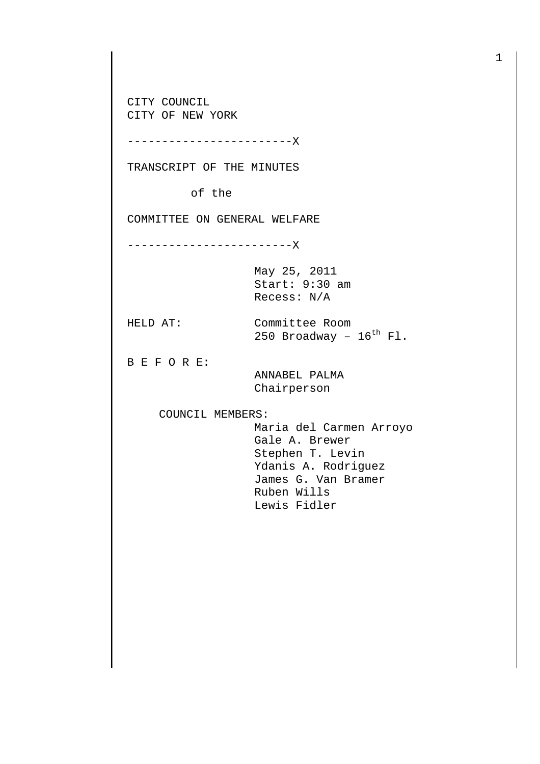CITY COUNCIL CITY OF NEW YORK

------------------------X

TRANSCRIPT OF THE MINUTES

of the

COMMITTEE ON GENERAL WELFARE

------------------------X

May 25, 2011 Start: 9:30 am Recess: N/A

HELD AT: Committee Room 250 Broadway -  $16^{th}$  Fl.

B E F O R E:

 ANNABEL PALMA Chairperson

COUNCIL MEMBERS:

 Maria del Carmen Arroyo Gale A. Brewer Stephen T. Levin Ydanis A. Rodriguez James G. Van Bramer Ruben Wills Lewis Fidler

1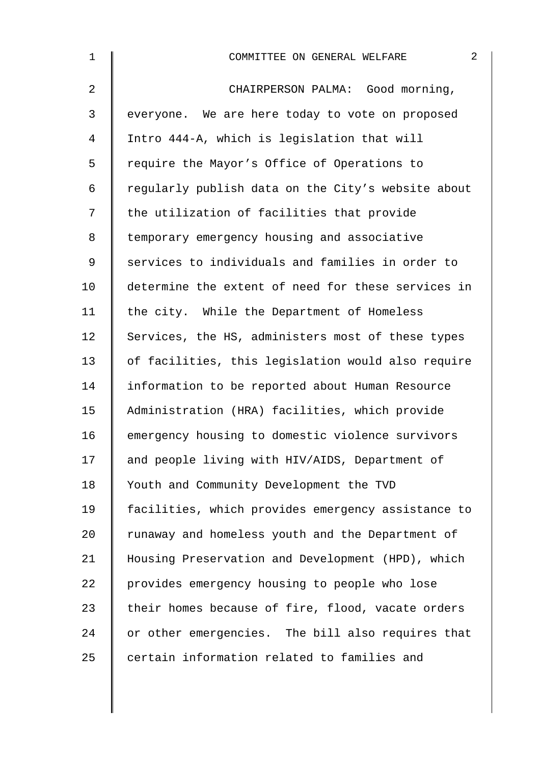| $\mathbf{1}$ | $\overline{2}$<br>COMMITTEE ON GENERAL WELFARE     |
|--------------|----------------------------------------------------|
| 2            | CHAIRPERSON PALMA: Good morning,                   |
| 3            | everyone. We are here today to vote on proposed    |
| 4            | Intro 444-A, which is legislation that will        |
| 5            | require the Mayor's Office of Operations to        |
| 6            | regularly publish data on the City's website about |
| 7            | the utilization of facilities that provide         |
| 8            | temporary emergency housing and associative        |
| $\mathsf 9$  | services to individuals and families in order to   |
| 10           | determine the extent of need for these services in |
| 11           | the city. While the Department of Homeless         |
| 12           | Services, the HS, administers most of these types  |
| 13           | of facilities, this legislation would also require |
| 14           | information to be reported about Human Resource    |
| 15           | Administration (HRA) facilities, which provide     |
| 16           | emergency housing to domestic violence survivors   |
| 17           | and people living with HIV/AIDS, Department of     |
| 18           | Youth and Community Development the TVD            |
| 19           | facilities, which provides emergency assistance to |
| 20           | runaway and homeless youth and the Department of   |
| 21           | Housing Preservation and Development (HPD), which  |
| 22           | provides emergency housing to people who lose      |
| 23           | their homes because of fire, flood, vacate orders  |
| 24           | or other emergencies. The bill also requires that  |
| 25           | certain information related to families and        |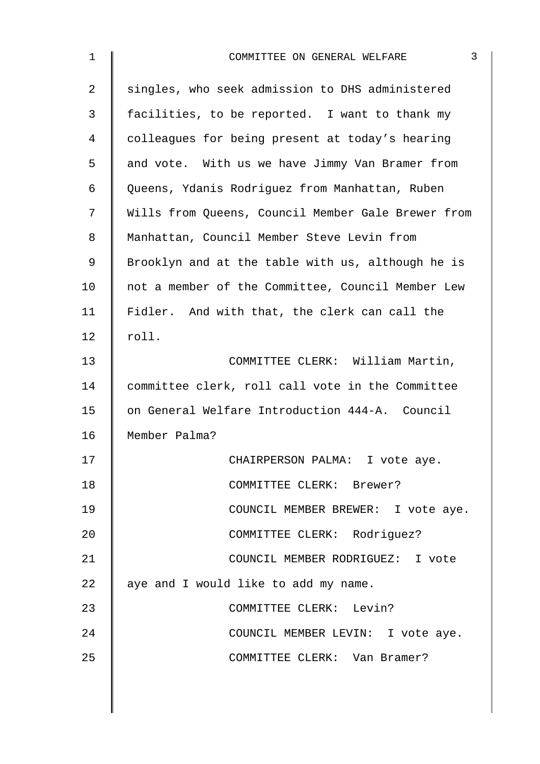| $\mathbf{1}$   | 3<br>COMMITTEE ON GENERAL WELFARE                  |
|----------------|----------------------------------------------------|
| 2              | singles, who seek admission to DHS administered    |
| $\mathfrak{Z}$ | facilities, to be reported. I want to thank my     |
| 4              | colleagues for being present at today's hearing    |
| 5              | and vote. With us we have Jimmy Van Bramer from    |
| 6              | Queens, Ydanis Rodriguez from Manhattan, Ruben     |
| 7              | Wills from Queens, Council Member Gale Brewer from |
| 8              | Manhattan, Council Member Steve Levin from         |
| 9              | Brooklyn and at the table with us, although he is  |
| 10             | not a member of the Committee, Council Member Lew  |
| 11             | Fidler. And with that, the clerk can call the      |
| 12             | roll.                                              |
| 13             | COMMITTEE CLERK: William Martin,                   |
| 14             | committee clerk, roll call vote in the Committee   |
| 15             | on General Welfare Introduction 444-A. Council     |
| 16             | Member Palma?                                      |
| 17             | CHAIRPERSON PALMA: I vote aye.                     |
| 18             | COMMITTEE CLERK: Brewer?                           |
| 19             | COUNCIL MEMBER BREWER: I vote aye.                 |
| 20             | COMMITTEE CLERK: Rodriguez?                        |
| 21             | COUNCIL MEMBER RODRIGUEZ: I vote                   |
| 22             | aye and I would like to add my name.               |
| 23             | COMMITTEE CLERK: Levin?                            |
| 24             | COUNCIL MEMBER LEVIN: I vote aye.                  |
| 25             | COMMITTEE CLERK: Van Bramer?                       |
|                |                                                    |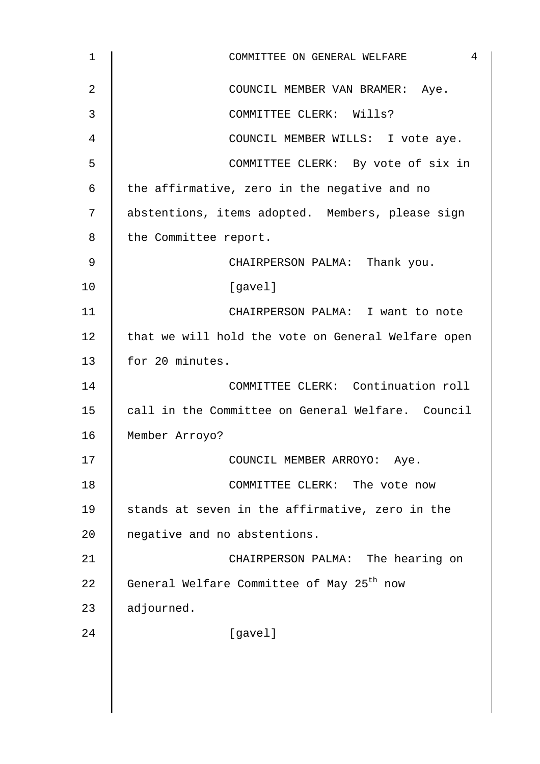| $\mathbf{1}$ | 4<br>COMMITTEE ON GENERAL WELFARE                     |
|--------------|-------------------------------------------------------|
| 2            | COUNCIL MEMBER VAN BRAMER: Aye.                       |
| 3            | COMMITTEE CLERK: Wills?                               |
| 4            | COUNCIL MEMBER WILLS: I vote aye.                     |
| 5            | COMMITTEE CLERK: By vote of six in                    |
| 6            | the affirmative, zero in the negative and no          |
| 7            | abstentions, items adopted. Members, please sign      |
| 8            | the Committee report.                                 |
| 9            | CHAIRPERSON PALMA: Thank you.                         |
| 10           | [gavel]                                               |
| 11           | CHAIRPERSON PALMA: I want to note                     |
| 12           | that we will hold the vote on General Welfare open    |
| 13           | for 20 minutes.                                       |
| 14           | COMMITTEE CLERK: Continuation roll                    |
| 15           | call in the Committee on General Welfare. Council     |
| 16           | Member Arroyo?                                        |
| 17           | COUNCIL MEMBER ARROYO: Aye.                           |
| 18           | COMMITTEE CLERK: The vote now                         |
| 19           | stands at seven in the affirmative, zero in the       |
| 20           | negative and no abstentions.                          |
| 21           | CHAIRPERSON PALMA: The hearing on                     |
| 22           | General Welfare Committee of May 25 <sup>th</sup> now |
| 23           | adjourned.                                            |
| 24           | [gavel]                                               |
|              |                                                       |
|              |                                                       |
|              |                                                       |